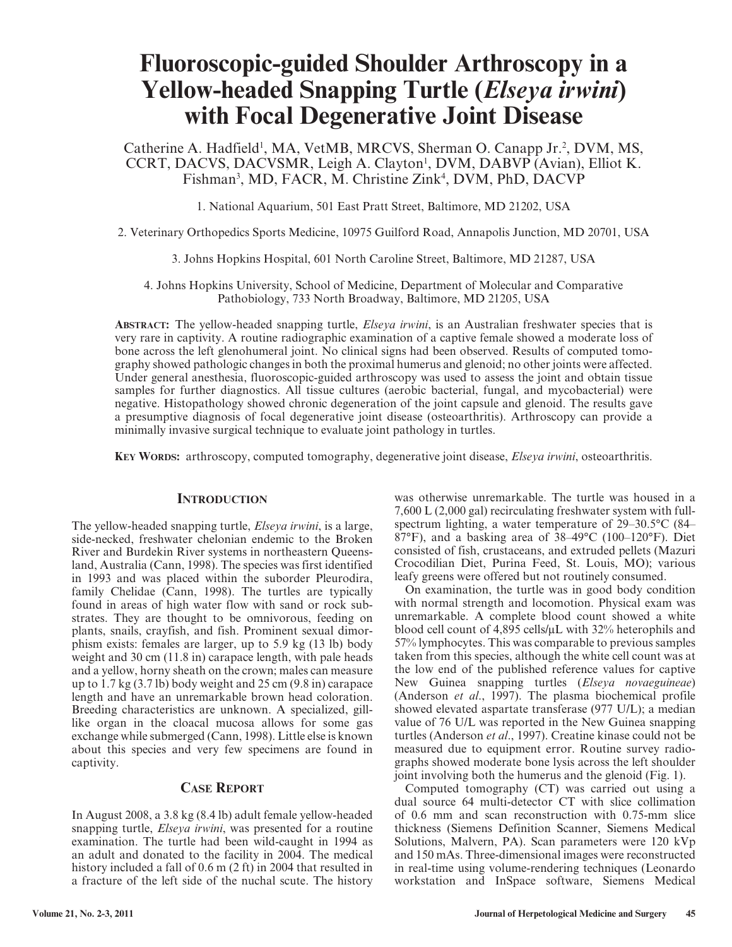# **Fluoroscopic-guided Shoulder Arthroscopy in a Yellow-headed Snapping Turtle (***Elseya irwini***) with Focal Degenerative Joint Disease**

Catherine A. Hadfield<sup>1</sup>, MA, VetMB, MRCVS, Sherman O. Canapp Jr.<sup>2</sup>, DVM, MS, CCRT, DACVS, DACVSMR, Leigh A. Clayton<sup>1</sup>, DVM, DABVP (Avian), Elliot K. Fishman<sup>3</sup>, MD, FACR, M. Christine Zink<sup>4</sup>, DVM, PhD, DACVP

1. National Aquarium, 501 East Pratt Street, Baltimore, MD 21202, USA

2. Veterinary Orthopedics Sports Medicine, 10975 Guilford Road, Annapolis Junction, MD 20701, USA

3. Johns Hopkins Hospital, 601 North Caroline Street, Baltimore, MD 21287, USA

4. Johns Hopkins University, School of Medicine, Department of Molecular and Comparative Pathobiology, 733 North Broadway, Baltimore, MD 21205, USA

**ABSTRACT:** The yellow-headed snapping turtle, *Elseya irwini*, is an Australian freshwater species that is very rare in captivity. A routine radiographic examination of a captive female showed a moderate loss of bone across the left glenohumeral joint. No clinical signs had been observed. Results of computed tomography showed pathologic changes in both the proximal humerus and glenoid; no other joints were affected. Under general anesthesia, fluoroscopic-guided arthroscopy was used to assess the joint and obtain tissue samples for further diagnostics. All tissue cultures (aerobic bacterial, fungal, and mycobacterial) were negative. Histopathology showed chronic degeneration of the joint capsule and glenoid. The results gave a presumptive diagnosis of focal degenerative joint disease (osteoarthritis). Arthroscopy can provide a minimally invasive surgical technique to evaluate joint pathology in turtles.

**KEY WORDS:** arthroscopy, computed tomography, degenerative joint disease, *Elseya irwini*, osteoarthritis.

### **INTRODUCTION**

The yellow-headed snapping turtle, *Elseya irwini*, is a large, side-necked, freshwater chelonian endemic to the Broken River and Burdekin River systems in northeastern Queensland, Australia (Cann, 1998). The species was first identified in 1993 and was placed within the suborder Pleurodira, family Chelidae (Cann, 1998). The turtles are typically found in areas of high water flow with sand or rock substrates. They are thought to be omnivorous, feeding on plants, snails, crayfish, and fish. Prominent sexual dimorphism exists: females are larger, up to 5.9 kg (13 lb) body weight and 30 cm (11.8 in) carapace length, with pale heads and a yellow, horny sheath on the crown; males can measure up to 1.7 kg (3.7 lb) body weight and 25 cm (9.8 in) carapace length and have an unremarkable brown head coloration. Breeding characteristics are unknown. A specialized, gilllike organ in the cloacal mucosa allows for some gas exchange while submerged (Cann, 1998). Little else is known about this species and very few specimens are found in captivity.

# **CASE REPORT**

In August 2008, a 3.8 kg (8.4 lb) adult female yellow-headed snapping turtle, *Elseya irwini*, was presented for a routine examination. The turtle had been wild-caught in 1994 as an adult and donated to the facility in 2004. The medical history included a fall of 0.6 m (2 ft) in 2004 that resulted in a fracture of the left side of the nuchal scute. The history

was otherwise unremarkable. The turtle was housed in a 7,600 L (2,000 gal) recirculating freshwater system with fullspectrum lighting, a water temperature of 29–30.5°C (84– 87°F), and a basking area of 38–49°C (100–120°F). Diet consisted of fish, crustaceans, and extruded pellets (Mazuri Crocodilian Diet, Purina Feed, St. Louis, MO); various leafy greens were offered but not routinely consumed.

On examination, the turtle was in good body condition with normal strength and locomotion. Physical exam was unremarkable. A complete blood count showed a white blood cell count of 4,895 cells/µL with 32% heterophils and 57% lymphocytes. This was comparable to previous samples taken from this species, although the white cell count was at the low end of the published reference values for captive New Guinea snapping turtles (*Elseya novaeguineae*) (Anderson *et al*., 1997). The plasma biochemical profile showed elevated aspartate transferase (977 U/L); a median value of 76 U/L was reported in the New Guinea snapping turtles (Anderson *et al*., 1997). Creatine kinase could not be measured due to equipment error. Routine survey radiographs showed moderate bone lysis across the left shoulder joint involving both the humerus and the glenoid (Fig. 1).

Computed tomography (CT) was carried out using a dual source 64 multi-detector CT with slice collimation of 0.6 mm and scan reconstruction with 0.75-mm slice thickness (Siemens Definition Scanner, Siemens Medical Solutions, Malvern, PA). Scan parameters were 120 kVp and 150 mAs. Three-dimensional images were reconstructed in real-time using volume-rendering techniques (Leonardo workstation and InSpace software, Siemens Medical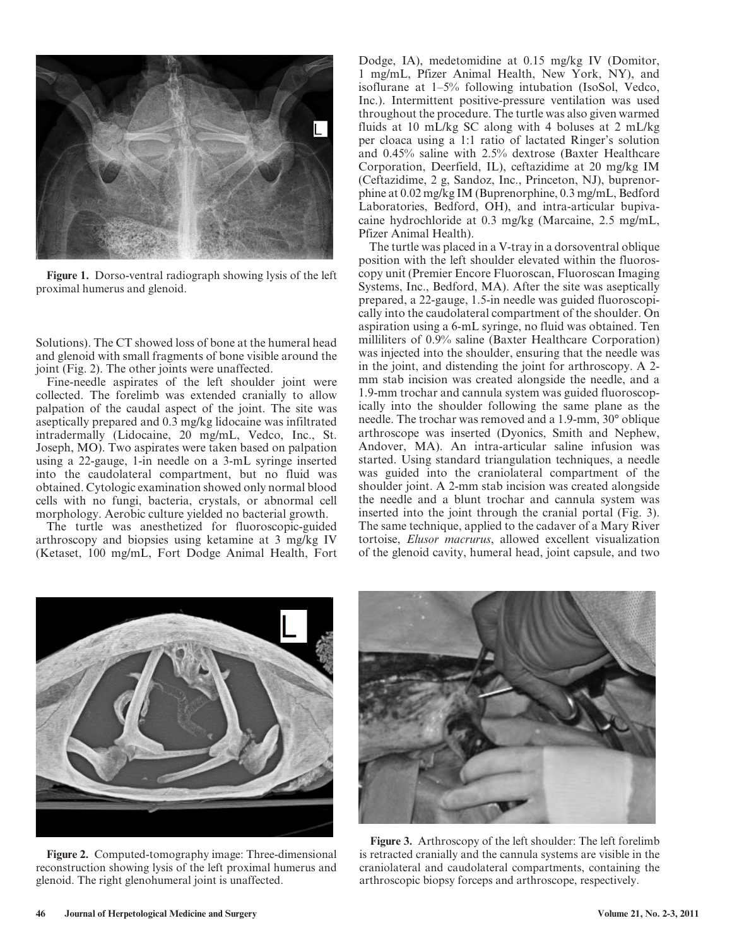

**Figure 1.** Dorso-ventral radiograph showing lysis of the left proximal humerus and glenoid.

Solutions). The CT showed loss of bone at the humeral head and glenoid with small fragments of bone visible around the joint (Fig. 2). The other joints were unaffected.

Fine-needle aspirates of the left shoulder joint were collected. The forelimb was extended cranially to allow palpation of the caudal aspect of the joint. The site was aseptically prepared and 0.3 mg/kg lidocaine was infiltrated intradermally (Lidocaine, 20 mg/mL, Vedco, Inc., St. Joseph, MO). Two aspirates were taken based on palpation using a 22-gauge, 1-in needle on a 3-mL syringe inserted into the caudolateral compartment, but no fluid was obtained. Cytologic examination showed only normal blood cells with no fungi, bacteria, crystals, or abnormal cell morphology. Aerobic culture yielded no bacterial growth.

The turtle was anesthetized for fluoroscopic-guided arthroscopy and biopsies using ketamine at 3 mg/kg IV (Ketaset, 100 mg/mL, Fort Dodge Animal Health, Fort Dodge, IA), medetomidine at 0.15 mg/kg IV (Domitor, 1 mg/mL, Pfizer Animal Health, New York, NY), and isoflurane at 1–5% following intubation (IsoSol, Vedco, Inc.). Intermittent positive-pressure ventilation was used throughout the procedure. The turtle was also given warmed fluids at 10 mL/kg SC along with 4 boluses at 2 mL/kg per cloaca using a 1:1 ratio of lactated Ringer's solution and 0.45% saline with 2.5% dextrose (Baxter Healthcare Corporation, Deerfield, IL), ceftazidime at 20 mg/kg IM (Ceftazidime, 2 g, Sandoz, Inc., Princeton, NJ), buprenorphine at 0.02 mg/kg IM (Buprenorphine, 0.3 mg/mL, Bedford Laboratories, Bedford, OH), and intra-articular bupivacaine hydrochloride at 0.3 mg/kg (Marcaine, 2.5 mg/mL, Pfizer Animal Health).

The turtle was placed in a V-tray in a dorsoventral oblique position with the left shoulder elevated within the fluoroscopy unit (Premier Encore Fluoroscan, Fluoroscan Imaging Systems, Inc., Bedford, MA). After the site was aseptically prepared, a 22-gauge, 1.5-in needle was guided fluoroscopically into the caudolateral compartment of the shoulder. On aspiration using a 6-mL syringe, no fluid was obtained. Ten milliliters of 0.9% saline (Baxter Healthcare Corporation) was injected into the shoulder, ensuring that the needle was in the joint, and distending the joint for arthroscopy. A 2 mm stab incision was created alongside the needle, and a 1.9-mm trochar and cannula system was guided fluoroscopically into the shoulder following the same plane as the needle. The trochar was removed and a 1.9-mm, 30° oblique arthroscope was inserted (Dyonics, Smith and Nephew, Andover, MA). An intra-articular saline infusion was started. Using standard triangulation techniques, a needle was guided into the craniolateral compartment of the shoulder joint. A 2-mm stab incision was created alongside the needle and a blunt trochar and cannula system was inserted into the joint through the cranial portal (Fig. 3). The same technique, applied to the cadaver of a Mary River tortoise, *Elusor macrurus*, allowed excellent visualization of the glenoid cavity, humeral head, joint capsule, and two



**Figure 2.** Computed-tomography image: Three-dimensional reconstruction showing lysis of the left proximal humerus and glenoid. The right glenohumeral joint is unaffected.



**Figure 3.** Arthroscopy of the left shoulder: The left forelimb is retracted cranially and the cannula systems are visible in the craniolateral and caudolateral compartments, containing the arthroscopic biopsy forceps and arthroscope, respectively.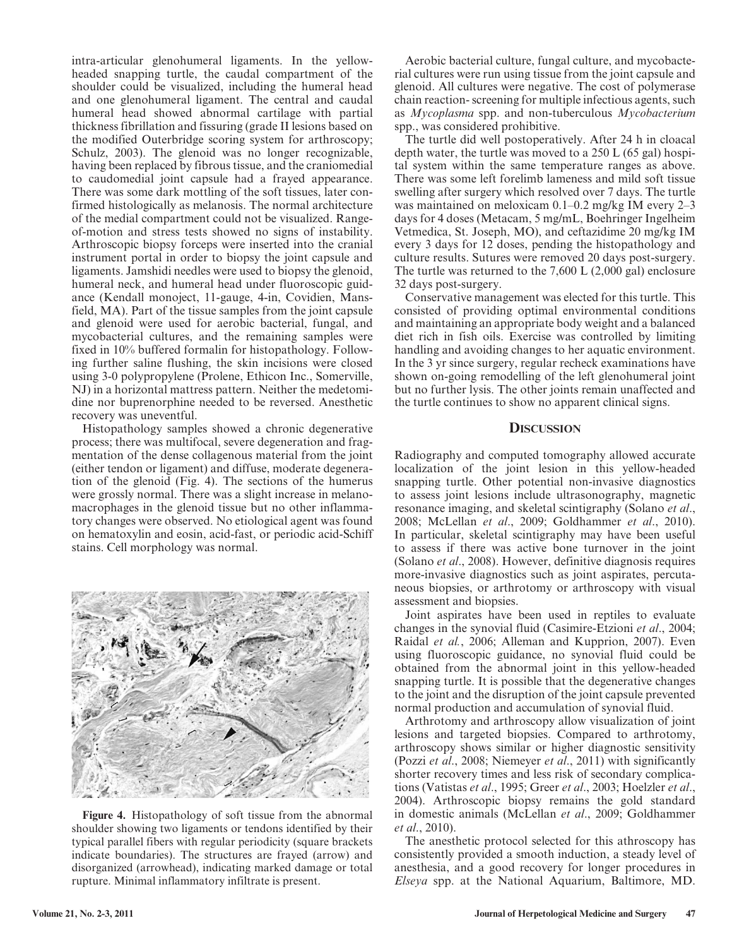intra-articular glenohumeral ligaments. In the yellowheaded snapping turtle, the caudal compartment of the shoulder could be visualized, including the humeral head and one glenohumeral ligament. The central and caudal humeral head showed abnormal cartilage with partial thickness fibrillation and fissuring (grade II lesions based on the modified Outerbridge scoring system for arthroscopy; Schulz, 2003). The glenoid was no longer recognizable, having been replaced by fibrous tissue, and the craniomedial to caudomedial joint capsule had a frayed appearance. There was some dark mottling of the soft tissues, later confirmed histologically as melanosis. The normal architecture of the medial compartment could not be visualized. Rangeof-motion and stress tests showed no signs of instability. Arthroscopic biopsy forceps were inserted into the cranial instrument portal in order to biopsy the joint capsule and ligaments. Jamshidi needles were used to biopsy the glenoid, humeral neck, and humeral head under fluoroscopic guidance (Kendall monoject, 11-gauge, 4-in, Covidien, Mansfield, MA). Part of the tissue samples from the joint capsule and glenoid were used for aerobic bacterial, fungal, and mycobacterial cultures, and the remaining samples were fixed in 10% buffered formalin for histopathology. Following further saline flushing, the skin incisions were closed using 3-0 polypropylene (Prolene, Ethicon Inc., Somerville, NJ) in a horizontal mattress pattern. Neither the medetomidine nor buprenorphine needed to be reversed. Anesthetic recovery was uneventful.

Histopathology samples showed a chronic degenerative process; there was multifocal, severe degeneration and fragmentation of the dense collagenous material from the joint (either tendon or ligament) and diffuse, moderate degeneration of the glenoid (Fig. 4). The sections of the humerus were grossly normal. There was a slight increase in melanomacrophages in the glenoid tissue but no other inflammatory changes were observed. No etiological agent was found on hematoxylin and eosin, acid-fast, or periodic acid-Schiff stains. Cell morphology was normal.



**Figure 4.** Histopathology of soft tissue from the abnormal shoulder showing two ligaments or tendons identified by their typical parallel fibers with regular periodicity (square brackets indicate boundaries). The structures are frayed (arrow) and disorganized (arrowhead), indicating marked damage or total rupture. Minimal inflammatory infiltrate is present.

Aerobic bacterial culture, fungal culture, and mycobacterial cultures were run using tissue from the joint capsule and glenoid. All cultures were negative. The cost of polymerase chain reaction- screening for multiple infectious agents, such as *Mycoplasma* spp. and non-tuberculous *Mycobacterium* spp., was considered prohibitive.

The turtle did well postoperatively. After 24 h in cloacal depth water, the turtle was moved to a 250 L (65 gal) hospital system within the same temperature ranges as above. There was some left forelimb lameness and mild soft tissue swelling after surgery which resolved over 7 days. The turtle was maintained on meloxicam 0.1–0.2 mg/kg IM every 2–3 days for 4 doses (Metacam, 5 mg/mL, Boehringer Ingelheim Vetmedica, St. Joseph, MO), and ceftazidime 20 mg/kg IM every 3 days for 12 doses, pending the histopathology and culture results. Sutures were removed 20 days post-surgery. The turtle was returned to the 7,600 L (2,000 gal) enclosure 32 days post-surgery.

Conservative management was elected for this turtle. This consisted of providing optimal environmental conditions and maintaining an appropriate body weight and a balanced diet rich in fish oils. Exercise was controlled by limiting handling and avoiding changes to her aquatic environment. In the 3 yr since surgery, regular recheck examinations have shown on-going remodelling of the left glenohumeral joint but no further lysis. The other joints remain unaffected and the turtle continues to show no apparent clinical signs.

#### **DISCUSSION**

Radiography and computed tomography allowed accurate localization of the joint lesion in this yellow-headed snapping turtle. Other potential non-invasive diagnostics to assess joint lesions include ultrasonography, magnetic resonance imaging, and skeletal scintigraphy (Solano *et al*., 2008; McLellan *et al*., 2009; Goldhammer *et al*., 2010). In particular, skeletal scintigraphy may have been useful to assess if there was active bone turnover in the joint (Solano *et al*., 2008). However, definitive diagnosis requires more-invasive diagnostics such as joint aspirates, percutaneous biopsies, or arthrotomy or arthroscopy with visual assessment and biopsies.

Joint aspirates have been used in reptiles to evaluate changes in the synovial fluid (Casimire-Etzioni *et al*., 2004; Raidal *et al.*, 2006; Alleman and Kupprion, 2007). Even using fluoroscopic guidance, no synovial fluid could be obtained from the abnormal joint in this yellow-headed snapping turtle. It is possible that the degenerative changes to the joint and the disruption of the joint capsule prevented normal production and accumulation of synovial fluid.

Arthrotomy and arthroscopy allow visualization of joint lesions and targeted biopsies. Compared to arthrotomy, arthroscopy shows similar or higher diagnostic sensitivity (Pozzi *et al*., 2008; Niemeyer *et al*., 2011) with significantly shorter recovery times and less risk of secondary complications (Vatistas *et al*., 1995; Greer *et al*., 2003; Hoelzler *et al*., 2004). Arthroscopic biopsy remains the gold standard in domestic animals (McLellan *et al*., 2009; Goldhammer *et al*., 2010).

The anesthetic protocol selected for this athroscopy has consistently provided a smooth induction, a steady level of anesthesia, and a good recovery for longer procedures in *Elseya* spp. at the National Aquarium, Baltimore, MD.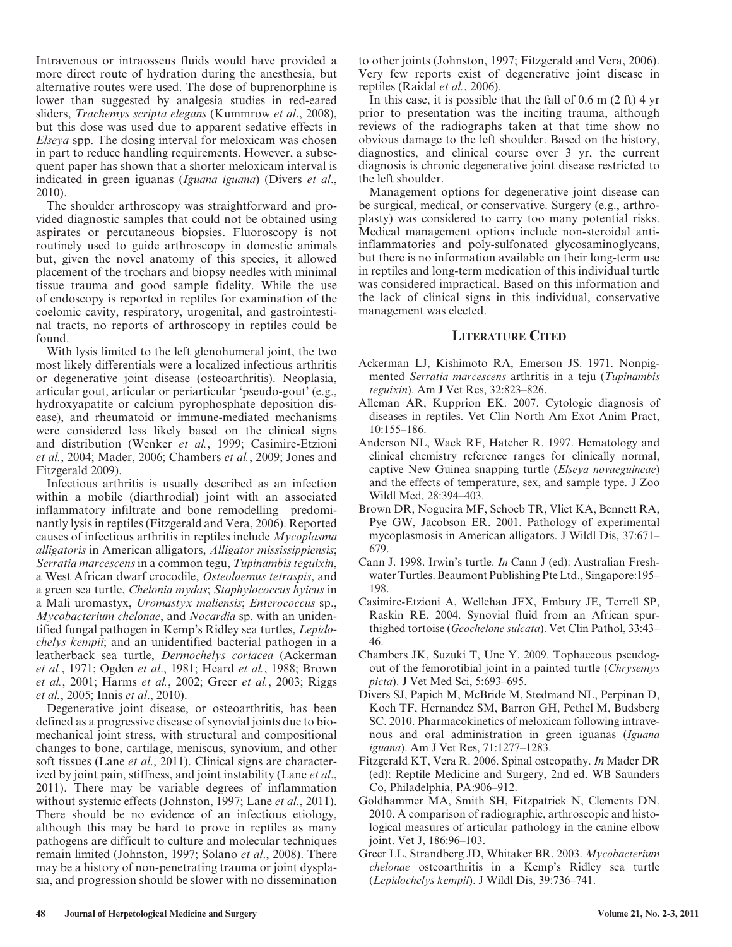Intravenous or intraosseus fluids would have provided a more direct route of hydration during the anesthesia, but alternative routes were used. The dose of buprenorphine is lower than suggested by analgesia studies in red-eared sliders, *Trachemys scripta elegans* (Kummrow *et al*., 2008), but this dose was used due to apparent sedative effects in *Elseya* spp. The dosing interval for meloxicam was chosen in part to reduce handling requirements. However, a subsequent paper has shown that a shorter meloxicam interval is indicated in green iguanas (*Iguana iguana*) (Divers *et al*., 2010).

The shoulder arthroscopy was straightforward and provided diagnostic samples that could not be obtained using aspirates or percutaneous biopsies. Fluoroscopy is not routinely used to guide arthroscopy in domestic animals but, given the novel anatomy of this species, it allowed placement of the trochars and biopsy needles with minimal tissue trauma and good sample fidelity. While the use of endoscopy is reported in reptiles for examination of the coelomic cavity, respiratory, urogenital, and gastrointestinal tracts, no reports of arthroscopy in reptiles could be found.

With lysis limited to the left glenohumeral joint, the two most likely differentials were a localized infectious arthritis or degenerative joint disease (osteoarthritis). Neoplasia, articular gout, articular or periarticular 'pseudo-gout' (e.g., hydroxyapatite or calcium pyrophosphate deposition disease), and rheumatoid or immune-mediated mechanisms were considered less likely based on the clinical signs and distribution (Wenker *et al.*, 1999; Casimire-Etzioni *et al.*, 2004; Mader, 2006; Chambers *et al.*, 2009; Jones and Fitzgerald 2009).

Infectious arthritis is usually described as an infection within a mobile (diarthrodial) joint with an associated inflammatory infiltrate and bone remodelling—predominantly lysis in reptiles (Fitzgerald and Vera, 2006). Reported causes of infectious arthritis in reptiles include *Mycoplasma alligatoris* in American alligators, *Alligator mississippiensis*; *Serratia marcescens* in a common tegu, *Tupinambis teguixin*, a West African dwarf crocodile, *Osteolaemus tetraspis*, and a green sea turtle, *Chelonia mydas*; *Staphylococcus hyicus* in a Mali uromastyx, *Uromastyx maliensis*; *Enterococcus* sp., *Mycobacterium chelonae*, and *Nocardia* sp. with an unidentified fungal pathogen in Kemp's Ridley sea turtles, *Lepidochelys kempii*; and an unidentified bacterial pathogen in a leatherback sea turtle, *Dermochelys coriacea* (Ackerman *et al.*, 1971; Ogden *et al*., 1981; Heard *et al.*, 1988; Brown *et al.*, 2001; Harms *et al.*, 2002; Greer *et al.*, 2003; Riggs *et al.*, 2005; Innis *et al*., 2010).

Degenerative joint disease, or osteoarthritis, has been defined as a progressive disease of synovial joints due to biomechanical joint stress, with structural and compositional changes to bone, cartilage, meniscus, synovium, and other soft tissues (Lane *et al*., 2011). Clinical signs are characterized by joint pain, stiffness, and joint instability (Lane *et al*., 2011). There may be variable degrees of inflammation without systemic effects (Johnston, 1997; Lane *et al.*, 2011). There should be no evidence of an infectious etiology, although this may be hard to prove in reptiles as many pathogens are difficult to culture and molecular techniques remain limited (Johnston, 1997; Solano *et al*., 2008). There may be a history of non-penetrating trauma or joint dysplasia, and progression should be slower with no dissemination to other joints (Johnston, 1997; Fitzgerald and Vera, 2006). Very few reports exist of degenerative joint disease in reptiles (Raidal *et al.*, 2006).

In this case, it is possible that the fall of 0.6 m (2 ft) 4 yr prior to presentation was the inciting trauma, although reviews of the radiographs taken at that time show no obvious damage to the left shoulder. Based on the history, diagnostics, and clinical course over 3 yr, the current diagnosis is chronic degenerative joint disease restricted to the left shoulder.

Management options for degenerative joint disease can be surgical, medical, or conservative. Surgery (e.g., arthroplasty) was considered to carry too many potential risks. Medical management options include non-steroidal antiinflammatories and poly-sulfonated glycosaminoglycans, but there is no information available on their long-term use in reptiles and long-term medication of this individual turtle was considered impractical. Based on this information and the lack of clinical signs in this individual, conservative management was elected.

## **LITERATURE CITED**

- Ackerman LJ, Kishimoto RA, Emerson JS. 1971. Nonpigmented *Serratia marcescens* arthritis in a teju (*Tupinambis teguixin*). Am J Vet Res, 32:823–826.
- Alleman AR, Kupprion EK. 2007. Cytologic diagnosis of diseases in reptiles. Vet Clin North Am Exot Anim Pract, 10:155–186.
- Anderson NL, Wack RF, Hatcher R. 1997. Hematology and clinical chemistry reference ranges for clinically normal, captive New Guinea snapping turtle (*Elseya novaeguineae*) and the effects of temperature, sex, and sample type. J Zoo Wildl Med, 28:394–403.
- Brown DR, Nogueira MF, Schoeb TR, Vliet KA, Bennett RA, Pye GW, Jacobson ER. 2001. Pathology of experimental mycoplasmosis in American alligators. J Wildl Dis, 37:671– 679.
- Cann J. 1998. Irwin's turtle. *In* Cann J (ed): Australian Freshwater Turtles. Beaumont Publishing Pte Ltd., Singapore:195– 198.
- Casimire-Etzioni A, Wellehan JFX, Embury JE, Terrell SP, Raskin RE. 2004. Synovial fluid from an African spurthighed tortoise (*Geochelone sulcata*). Vet Clin Pathol, 33:43– 46.
- Chambers JK, Suzuki T, Une Y. 2009. Tophaceous pseudogout of the femorotibial joint in a painted turtle (*Chrysemys picta*). J Vet Med Sci, 5:693–695.
- Divers SJ, Papich M, McBride M, Stedmand NL, Perpinan D, Koch TF, Hernandez SM, Barron GH, Pethel M, Budsberg SC. 2010. Pharmacokinetics of meloxicam following intravenous and oral administration in green iguanas (*Iguana iguana*). Am J Vet Res, 71:1277–1283.
- Fitzgerald KT, Vera R. 2006. Spinal osteopathy. *In* Mader DR (ed): Reptile Medicine and Surgery, 2nd ed. WB Saunders Co, Philadelphia, PA:906–912.
- Goldhammer MA, Smith SH, Fitzpatrick N, Clements DN. 2010. A comparison of radiographic, arthroscopic and histological measures of articular pathology in the canine elbow joint. Vet J, 186:96–103.
- Greer LL, Strandberg JD, Whitaker BR. 2003. *Mycobacterium chelonae* osteoarthritis in a Kemp's Ridley sea turtle (*Lepidochelys kempii*). J Wildl Dis, 39:736–741.